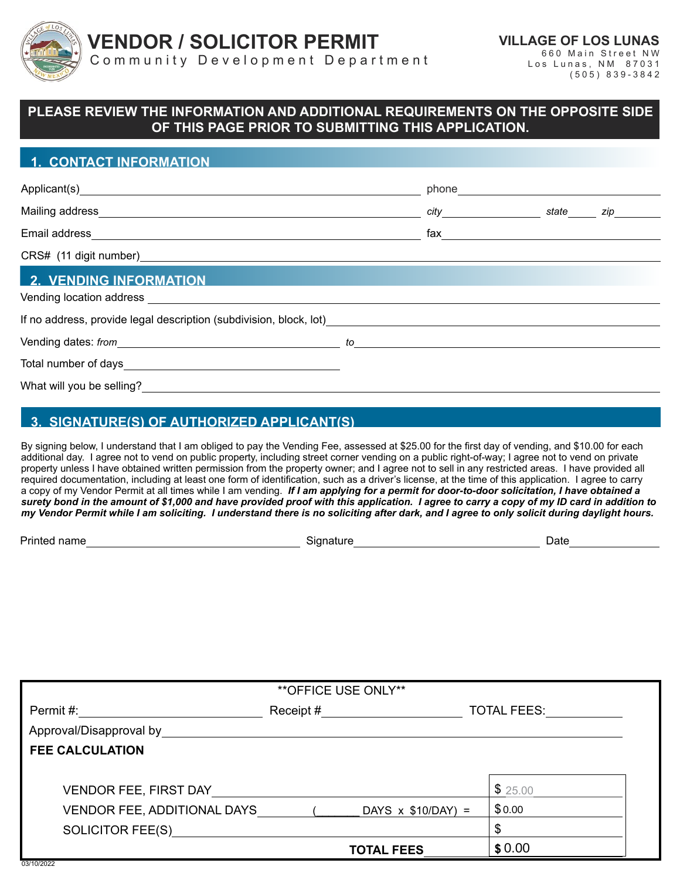

**VENDOR / SOLICITOR PERMIT**

**VILLAGE OF LOS LUNAS** 660 Main Street NW

Community Development Department

Los Lunas, NM 87031 (505) 839-3842

## **PLEASE REVIEW THE INFORMATION AND ADDITIONAL REQUIREMENTS ON THE OPPOSITE SIDE OF THIS PAGE PRIOR TO SUBMITTING THIS APPLICATION.**

#### **1. CONTACT INFORMATION**

|                                                                                                                                                                                                                                | phone that the contract of the contract of the contract of the contract of the contract of the contract of the |  |
|--------------------------------------------------------------------------------------------------------------------------------------------------------------------------------------------------------------------------------|----------------------------------------------------------------------------------------------------------------|--|
|                                                                                                                                                                                                                                | ______ city__________________________state_______ zip_________                                                 |  |
|                                                                                                                                                                                                                                | fax ____________________________                                                                               |  |
|                                                                                                                                                                                                                                |                                                                                                                |  |
| <b>2. VENDING INFORMATION</b>                                                                                                                                                                                                  |                                                                                                                |  |
| If no address, provide legal description (subdivision, block, lot)                                                                                                                                                             |                                                                                                                |  |
| Vending dates: from the contract of the contract of the contract of the contract of the contract of the contract of the contract of the contract of the contract of the contract of the contract of the contract of the contra |                                                                                                                |  |
|                                                                                                                                                                                                                                |                                                                                                                |  |
| What will you be selling?                                                                                                                                                                                                      |                                                                                                                |  |

# **3. SIGNATURE(S) OF AUTHORIZED APPLICANT(S)**

By signing below, I understand that I am obliged to pay the Vending Fee, assessed at \$25.00 for the first day of vending, and \$10.00 for each additional day. I agree not to vend on public property, including street corner vending on a public right-of-way; I agree not to vend on private property unless I have obtained written permission from the property owner; and I agree not to sell in any restricted areas. I have provided all required documentation, including at least one form of identification, such as a driver's license, at the time of this application. I agree to carry a copy of my Vendor Permit at all times while I am vending. *If I am applying for a permit for door-to-door solicitation, I have obtained a surety bond in the amount of \$1,000 and have provided proof with this application. I agree to carry a copy of my ID card in addition to my Vendor Permit while I am soliciting. I understand there is no soliciting after dark, and I agree to only solicit during daylight hours.*

Printed name Signature Date

| ** OFFICE USE ONLY**         |           |                           |                    |  |  |  |
|------------------------------|-----------|---------------------------|--------------------|--|--|--|
| Permit #:                    | Receipt # |                           | <b>TOTAL FEES:</b> |  |  |  |
| Approval/Disapproval by      |           |                           |                    |  |  |  |
| <b>FEE CALCULATION</b>       |           |                           |                    |  |  |  |
|                              |           |                           |                    |  |  |  |
| <b>VENDOR FEE, FIRST DAY</b> |           |                           | \$25.00            |  |  |  |
| VENDOR FEE, ADDITIONAL DAYS  |           | DAYS $\times$ \$10/DAY) = | \$0.00             |  |  |  |
| <b>SOLICITOR FEE(S)</b>      |           |                           | \$                 |  |  |  |
|                              |           | <b>TOTAL FEES</b>         | \$0.00             |  |  |  |